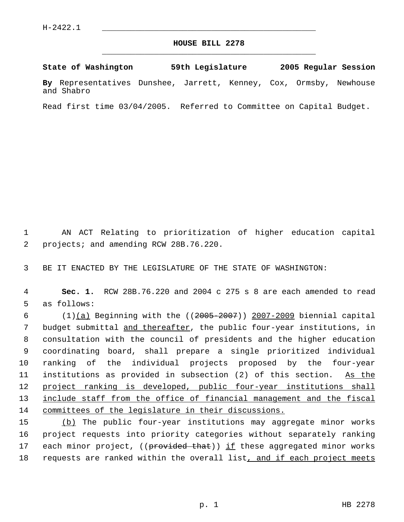## **HOUSE BILL 2278** \_\_\_\_\_\_\_\_\_\_\_\_\_\_\_\_\_\_\_\_\_\_\_\_\_\_\_\_\_\_\_\_\_\_\_\_\_\_\_\_\_\_\_\_\_

**State of Washington 59th Legislature 2005 Regular Session By** Representatives Dunshee, Jarrett, Kenney, Cox, Ormsby, Newhouse and Shabro

Read first time 03/04/2005. Referred to Committee on Capital Budget.

 1 AN ACT Relating to prioritization of higher education capital 2 projects; and amending RCW 28B.76.220.

3 BE IT ENACTED BY THE LEGISLATURE OF THE STATE OF WASHINGTON:

 4 **Sec. 1.** RCW 28B.76.220 and 2004 c 275 s 8 are each amended to read 5 as follows:

6  $(1)(a)$  Beginning with the  $((2005-2007))$  2007-2009 biennial capital 7 budget submittal and thereafter, the public four-year institutions, in 8 consultation with the council of presidents and the higher education 9 coordinating board, shall prepare a single prioritized individual 10 ranking of the individual projects proposed by the four-year 11 institutions as provided in subsection (2) of this section. As the 12 project ranking is developed, public four-year institutions shall 13 include staff from the office of financial management and the fiscal 14 committees of the legislature in their discussions.

15 (b) The public four-year institutions may aggregate minor works 16 project requests into priority categories without separately ranking 17 each minor project, ((provided that)) if these aggregated minor works 18 requests are ranked within the overall list, and if each project meets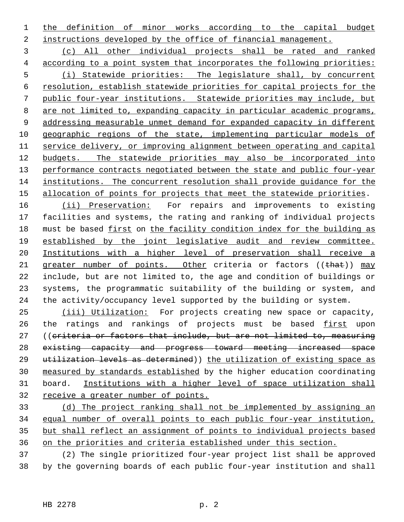1 the definition of minor works according to the capital budget instructions developed by the office of financial management.

 (c) All other individual projects shall be rated and ranked according to a point system that incorporates the following priorities: (i) Statewide priorities: The legislature shall, by concurrent resolution, establish statewide priorities for capital projects for the public four-year institutions. Statewide priorities may include, but 8 are not limited to, expanding capacity in particular academic programs, 9 addressing measurable unmet demand for expanded capacity in different 10 geographic regions of the state, implementing particular models of service delivery, or improving alignment between operating and capital budgets. The statewide priorities may also be incorporated into 13 performance contracts negotiated between the state and public four-year institutions. The concurrent resolution shall provide guidance for the 15 allocation of points for projects that meet the statewide priorities.

16 (ii) Preservation: For repairs and improvements to existing facilities and systems, the rating and ranking of individual projects must be based first on the facility condition index for the building as established by the joint legislative audit and review committee. Institutions with a higher level of preservation shall receive a 21 greater number of points. Other criteria or factors ((that)) may include, but are not limited to, the age and condition of buildings or systems, the programmatic suitability of the building or system, and the activity/occupancy level supported by the building or system.

25 (iii) Utilization: For projects creating new space or capacity, 26 the ratings and rankings of projects must be based first upon ((criteria or factors that include, but are not limited to, measuring existing capacity and progress toward meeting increased space 29 utilization levels as determined)) the utilization of existing space as measured by standards established by the higher education coordinating board. Institutions with a higher level of space utilization shall receive a greater number of points.

 (d) The project ranking shall not be implemented by assigning an equal number of overall points to each public four-year institution, but shall reflect an assignment of points to individual projects based on the priorities and criteria established under this section.

 (2) The single prioritized four-year project list shall be approved by the governing boards of each public four-year institution and shall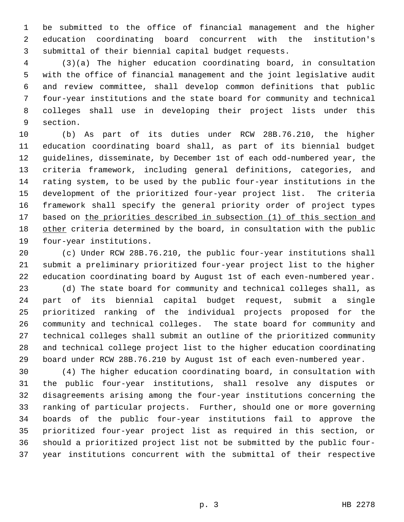be submitted to the office of financial management and the higher education coordinating board concurrent with the institution's submittal of their biennial capital budget requests.

 (3)(a) The higher education coordinating board, in consultation with the office of financial management and the joint legislative audit and review committee, shall develop common definitions that public four-year institutions and the state board for community and technical colleges shall use in developing their project lists under this section.

 (b) As part of its duties under RCW 28B.76.210, the higher education coordinating board shall, as part of its biennial budget guidelines, disseminate, by December 1st of each odd-numbered year, the criteria framework, including general definitions, categories, and rating system, to be used by the public four-year institutions in the development of the prioritized four-year project list. The criteria framework shall specify the general priority order of project types 17 based on the priorities described in subsection (1) of this section and 18 other criteria determined by the board, in consultation with the public four-year institutions.

 (c) Under RCW 28B.76.210, the public four-year institutions shall submit a preliminary prioritized four-year project list to the higher education coordinating board by August 1st of each even-numbered year.

 (d) The state board for community and technical colleges shall, as part of its biennial capital budget request, submit a single prioritized ranking of the individual projects proposed for the community and technical colleges. The state board for community and technical colleges shall submit an outline of the prioritized community and technical college project list to the higher education coordinating board under RCW 28B.76.210 by August 1st of each even-numbered year.

 (4) The higher education coordinating board, in consultation with the public four-year institutions, shall resolve any disputes or disagreements arising among the four-year institutions concerning the ranking of particular projects. Further, should one or more governing boards of the public four-year institutions fail to approve the prioritized four-year project list as required in this section, or should a prioritized project list not be submitted by the public four-year institutions concurrent with the submittal of their respective